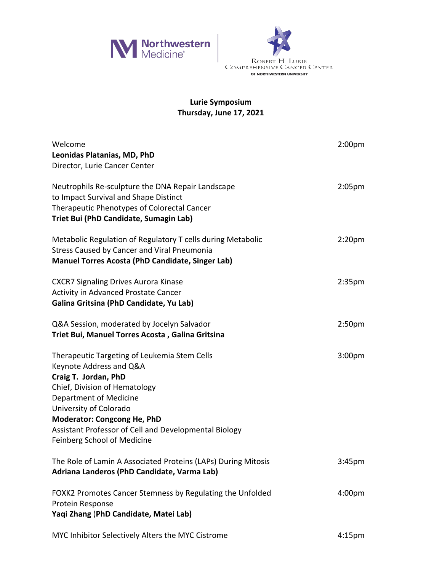



## **Lurie Symposium Thursday, June 17, 2021**

| Welcome<br>Leonidas Platanias, MD, PhD<br>Director, Lurie Cancer Center                                                                                                                                                                                                                                            | 2:00 <sub>pm</sub> |
|--------------------------------------------------------------------------------------------------------------------------------------------------------------------------------------------------------------------------------------------------------------------------------------------------------------------|--------------------|
| Neutrophils Re-sculpture the DNA Repair Landscape<br>to Impact Survival and Shape Distinct<br>Therapeutic Phenotypes of Colorectal Cancer<br>Triet Bui (PhD Candidate, Sumagin Lab)                                                                                                                                | 2:05 <sub>pm</sub> |
| Metabolic Regulation of Regulatory T cells during Metabolic<br>Stress Caused by Cancer and Viral Pneumonia<br><b>Manuel Torres Acosta (PhD Candidate, Singer Lab)</b>                                                                                                                                              | 2:20 <sub>pm</sub> |
| <b>CXCR7 Signaling Drives Aurora Kinase</b><br>Activity in Advanced Prostate Cancer<br>Galina Gritsina (PhD Candidate, Yu Lab)                                                                                                                                                                                     | 2:35 <sub>pm</sub> |
| Q&A Session, moderated by Jocelyn Salvador<br>Triet Bui, Manuel Torres Acosta, Galina Gritsina                                                                                                                                                                                                                     | 2:50 <sub>pm</sub> |
| Therapeutic Targeting of Leukemia Stem Cells<br>Keynote Address and Q&A<br>Craig T. Jordan, PhD<br>Chief, Division of Hematology<br>Department of Medicine<br>University of Colorado<br><b>Moderator: Congcong He, PhD</b><br>Assistant Professor of Cell and Developmental Biology<br>Feinberg School of Medicine | 3:00 <sub>pm</sub> |
| The Role of Lamin A Associated Proteins (LAPs) During Mitosis<br>Adriana Landeros (PhD Candidate, Varma Lab)                                                                                                                                                                                                       | 3:45 <sub>pm</sub> |
| FOXK2 Promotes Cancer Stemness by Regulating the Unfolded<br>Protein Response<br>Yaqi Zhang (PhD Candidate, Matei Lab)                                                                                                                                                                                             | 4:00 <sub>pm</sub> |
| MYC Inhibitor Selectively Alters the MYC Cistrome                                                                                                                                                                                                                                                                  | 4:15 <sub>pm</sub> |